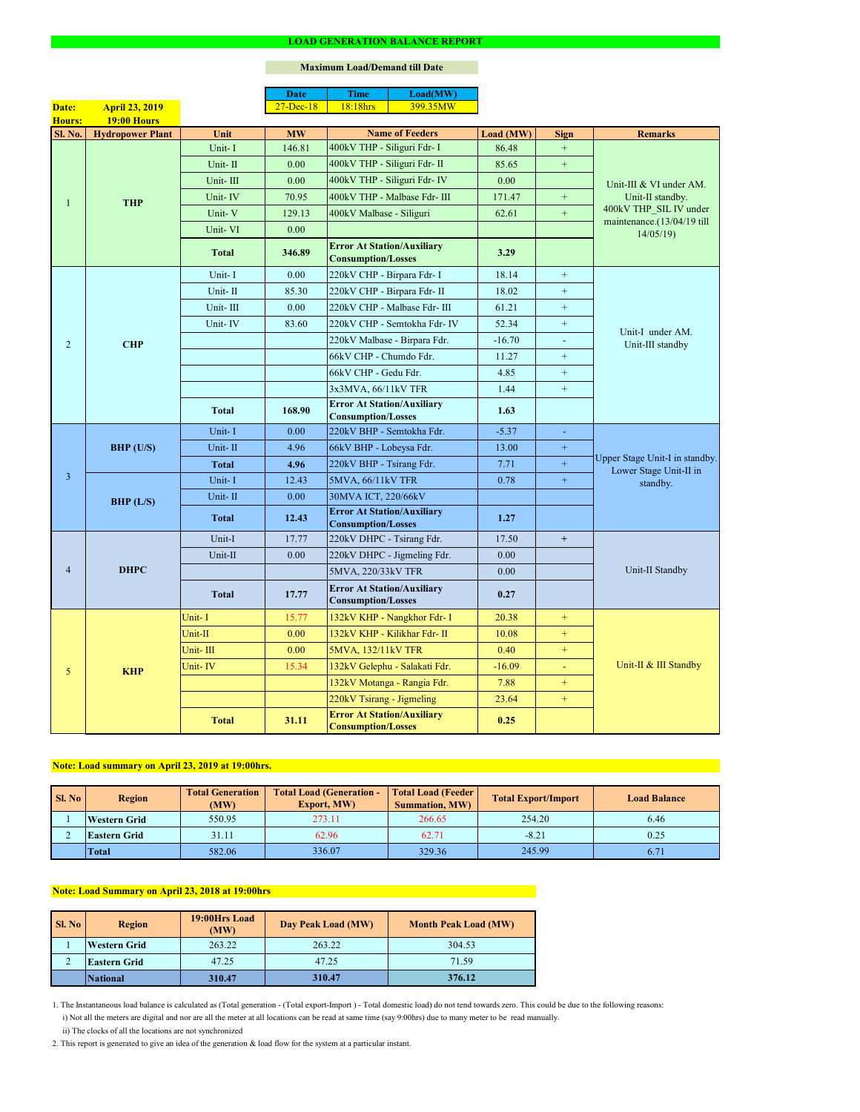2. This report is generated to give an idea of the generation & load flow for the system at a particular instant.

### **Maximum Load/Demand till Date**

ii) The clocks of all the locations are not synchronized

1. The Instantaneous load balance is calculated as (Total generation - (Total export-Import ) - Total domestic load) do not tend towards zero. This could be due to the following reasons:

| SI. No | <b>Total Generation</b><br><b>Region</b><br>(MW) |        | <b>Total Load (Generation -</b><br><b>Export, MW)</b> | <b>Total Load (Feeder)</b><br><b>Summation, MW)</b> | <b>Total Export/Import</b> | <b>Load Balance</b> |
|--------|--------------------------------------------------|--------|-------------------------------------------------------|-----------------------------------------------------|----------------------------|---------------------|
|        | <b>Western Grid</b>                              | 550.95 | 273.11                                                | 266.65                                              | 254.20                     | 6.46                |
|        | <b>Eastern Grid</b>                              | 31.11  | 62.96                                                 | 62.71                                               | $-8.21$                    | 0.25                |
|        | Total                                            | 582.06 | 336.07                                                | 329.36                                              | 245.99                     | 6.71                |

| Sl. No | 19:00Hrs Load<br><b>Region</b><br>(MW) |        | Day Peak Load (MW) | <b>Month Peak Load (MW)</b> |
|--------|----------------------------------------|--------|--------------------|-----------------------------|
|        | <b>Western Grid</b>                    | 263.22 | 263.22             | 304.53                      |
|        | <b>Eastern Grid</b>                    | 47.25  | 47.25              | 71.59                       |
|        | <b>National</b>                        | 310.47 | 310.47             | 376.12                      |

# **Note: Load summary on April 23, 2019 at 19:00hrs.**

|                 |                         |              | <b>Date</b>       | <b>Time</b>                                                    | Load(MW)                      |           |                  |                                                                           |  |
|-----------------|-------------------------|--------------|-------------------|----------------------------------------------------------------|-------------------------------|-----------|------------------|---------------------------------------------------------------------------|--|
| Date:           | <b>April 23, 2019</b>   |              | $27 - Dec-18$     | 18:18hrs                                                       | 399.35MW                      |           |                  |                                                                           |  |
| <b>Hours:</b>   | <b>19:00 Hours</b>      |              |                   |                                                                |                               |           |                  |                                                                           |  |
| <b>Sl. No.</b>  | <b>Hydropower Plant</b> | Unit         | <b>MW</b>         |                                                                | <b>Name of Feeders</b>        | Load (MW) | <b>Sign</b>      | <b>Remarks</b>                                                            |  |
|                 |                         | Unit-I       | 146.81            | 400kV THP - Siliguri Fdr- I                                    |                               | 86.48     | $\boldsymbol{+}$ |                                                                           |  |
|                 |                         | Unit-II      | 0.00              | 400kV THP - Siliguri Fdr- II                                   |                               | 85.65     | $+$              |                                                                           |  |
|                 |                         | Unit-III     | 0.00              |                                                                | 400kV THP - Siliguri Fdr- IV  | 0.00      |                  | Unit-III & VI under AM.                                                   |  |
|                 | <b>THP</b>              | Unit-IV      | 70.95             |                                                                | 400kV THP - Malbase Fdr- III  | 171.47    | $+$              | Unit-II standby.<br>400kV THP_SIL IV under<br>maintenance. (13/04/19 till |  |
|                 |                         | Unit-V       | 129.13            | 400kV Malbase - Siliguri                                       |                               | 62.61     | $+$              |                                                                           |  |
|                 |                         | Unit-VI      | 0.00              |                                                                |                               |           |                  | 14/05/19                                                                  |  |
|                 |                         | <b>Total</b> | 346.89            | <b>Error At Station/Auxiliary</b><br><b>Consumption/Losses</b> |                               | 3.29      |                  |                                                                           |  |
|                 |                         | Unit-I       | 0.00              | 220kV CHP - Birpara Fdr- I                                     |                               | 18.14     | $+$              |                                                                           |  |
|                 |                         | Unit-II      | 85.30             |                                                                | 220kV CHP - Birpara Fdr- II   | 18.02     | $+$              |                                                                           |  |
|                 |                         | Unit-III     | 0.00              |                                                                | 220kV CHP - Malbase Fdr- III  | 61.21     | $+$              |                                                                           |  |
|                 |                         | Unit-IV      | 83.60             |                                                                | 220kV CHP - Semtokha Fdr- IV  | 52.34     | $\pm$            | Unit-I under AM.                                                          |  |
| $\overline{2}$  | <b>CHP</b>              |              |                   |                                                                | 220kV Malbase - Birpara Fdr.  | $-16.70$  | $\blacksquare$   | Unit-III standby                                                          |  |
|                 |                         |              |                   | 66kV CHP - Chumdo Fdr.                                         |                               | 11.27     | $\boldsymbol{+}$ |                                                                           |  |
|                 |                         |              |                   | 66kV CHP - Gedu Fdr.                                           |                               | 4.85      | $+$              |                                                                           |  |
|                 |                         |              |                   | 3x3MVA, 66/11kV TFR                                            |                               | 1.44      | $+$              |                                                                           |  |
|                 |                         | <b>Total</b> | 168.90            | <b>Error At Station/Auxiliary</b><br><b>Consumption/Losses</b> |                               | 1.63      |                  |                                                                           |  |
|                 | BHP (U/S)               | Unit-I       | 0.00              | 220kV BHP - Semtokha Fdr.                                      |                               | $-5.37$   | $\blacksquare$   | Upper Stage Unit-I in standby.<br>Lower Stage Unit-II in<br>standby.      |  |
|                 |                         | Unit-II      | 4.96              | 66kV BHP - Lobeysa Fdr.                                        |                               | 13.00     | $\pm$            |                                                                           |  |
|                 |                         | <b>Total</b> | 4.96              | 220kV BHP - Tsirang Fdr.                                       |                               | 7.71      | $+$              |                                                                           |  |
| $\overline{3}$  |                         | Unit-I       | 12.43             | 5MVA, 66/11kV TFR                                              |                               | 0.78      | $\pm$            |                                                                           |  |
|                 | BHP (L/S)               | Unit-II      | 0.00              | 30MVA ICT, 220/66kV                                            |                               |           |                  |                                                                           |  |
|                 |                         |              |                   | <b>Error At Station/Auxiliary</b>                              |                               |           |                  |                                                                           |  |
|                 |                         | <b>Total</b> | 12.43             | <b>Consumption/Losses</b>                                      |                               | 1.27      |                  |                                                                           |  |
|                 | <b>DHPC</b>             | Unit-I       | 17.77             | 220kV DHPC - Tsirang Fdr.                                      |                               | 17.50     | $+$              |                                                                           |  |
|                 |                         | Unit-II      | 0.00              |                                                                | 220kV DHPC - Jigmeling Fdr.   | 0.00      |                  |                                                                           |  |
| $\overline{4}$  |                         |              |                   | 5MVA, 220/33kV TFR                                             |                               | 0.00      |                  | Unit-II Standby                                                           |  |
|                 |                         | <b>Total</b> | 17.77             | <b>Error At Station/Auxiliary</b><br><b>Consumption/Losses</b> |                               | 0.27      |                  |                                                                           |  |
|                 |                         | Unit-I       | 15.77             |                                                                | 132kV KHP - Nangkhor Fdr- I   | 20.38     | $+$              |                                                                           |  |
|                 |                         | Unit-II      | 0.00 <sub>1</sub> |                                                                | 132kV KHP - Kilikhar Fdr- II  | 10.08     | $+$              |                                                                           |  |
|                 |                         | Unit-III     | 0.00 <sub>1</sub> | 5MVA, 132/11kV TFR                                             |                               | 0.40      | $+$              |                                                                           |  |
| $5\overline{)}$ | <b>KHP</b>              | Unit-IV      | 15.34             |                                                                | 132kV Gelephu - Salakati Fdr. | $-16.09$  | $\blacksquare$   | Unit-II & III Standby                                                     |  |
|                 |                         |              |                   |                                                                | 132kV Motanga - Rangia Fdr.   | 7.88      | $+$              |                                                                           |  |
|                 |                         |              |                   | 220kV Tsirang - Jigmeling                                      |                               | 23.64     | $+$              |                                                                           |  |
|                 |                         | <b>Total</b> | 31.11             | <b>Error At Station/Auxiliary</b><br><b>Consumption/Losses</b> |                               | 0.25      |                  |                                                                           |  |

i) Not all the meters are digital and nor are all the meter at all locations can be read at same time (say 9:00hrs) due to many meter to be read manually.

# **Note: Load Summary on April 23, 2018 at 19:00hrs**

## **LOAD GENERATION BALANCE REPORT**